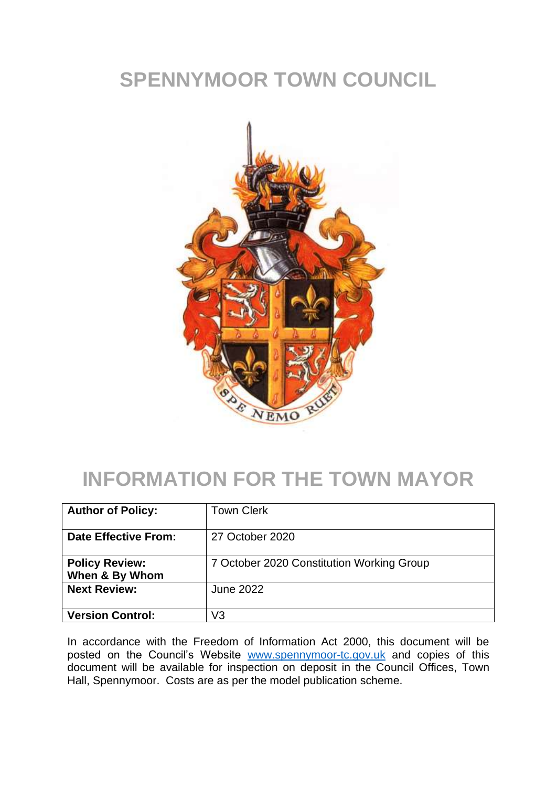## **SPENNYMOOR TOWN COUNCIL**



## **INFORMATION FOR THE TOWN MAYOR**

| <b>Author of Policy:</b>                | <b>Town Clerk</b>                         |
|-----------------------------------------|-------------------------------------------|
| <b>Date Effective From:</b>             | 27 October 2020                           |
| <b>Policy Review:</b><br>When & By Whom | 7 October 2020 Constitution Working Group |
| <b>Next Review:</b>                     | <b>June 2022</b>                          |
| <b>Version Control:</b>                 | V3                                        |

In accordance with the Freedom of Information Act 2000, this document will be posted on the Council's Website [www.spennymoor-tc.gov.uk](http://www.spennymoor-tc.gov.uk/) and copies of this document will be available for inspection on deposit in the Council Offices, Town Hall, Spennymoor. Costs are as per the model publication scheme.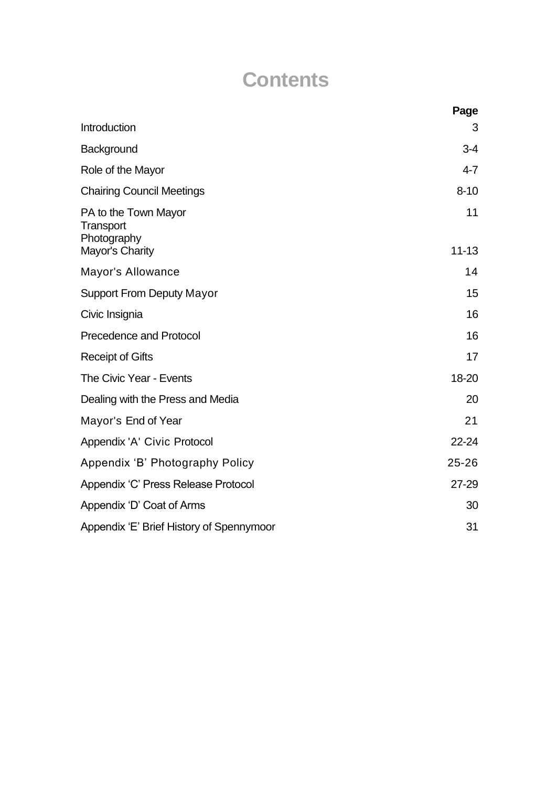## **Contents**

|                                                                     | Page            |
|---------------------------------------------------------------------|-----------------|
| Introduction                                                        | 3               |
| Background                                                          | $3 - 4$         |
| Role of the Mayor                                                   | $4 - 7$         |
| <b>Chairing Council Meetings</b>                                    | $8 - 10$        |
| PA to the Town Mayor<br>Transport<br>Photography<br>Mayor's Charity | 11<br>$11 - 13$ |
| Mayor's Allowance                                                   | 14              |
| <b>Support From Deputy Mayor</b>                                    | 15              |
|                                                                     |                 |
| Civic Insignia                                                      | 16              |
| <b>Precedence and Protocol</b>                                      | 16              |
| <b>Receipt of Gifts</b>                                             | 17              |
| The Civic Year - Events                                             | 18-20           |
| Dealing with the Press and Media                                    | 20              |
| Mayor's End of Year                                                 | 21              |
| Appendix 'A' Civic Protocol                                         | 22-24           |
| Appendix 'B' Photography Policy                                     | $25 - 26$       |
| Appendix 'C' Press Release Protocol                                 | $27 - 29$       |
| Appendix 'D' Coat of Arms                                           | 30              |
| Appendix 'E' Brief History of Spennymoor                            | 31              |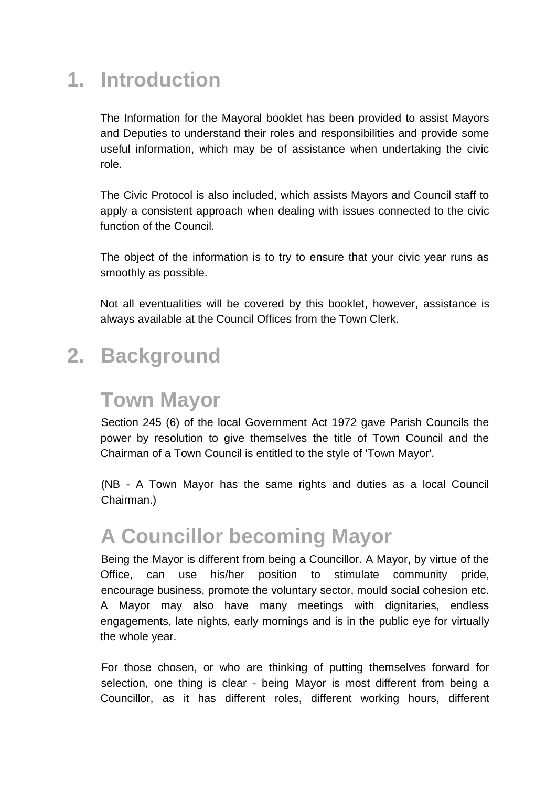## **1. Introduction**

The Information for the Mayoral booklet has been provided to assist Mayors and Deputies to understand their roles and responsibilities and provide some useful information, which may be of assistance when undertaking the civic role.

The Civic Protocol is also included, which assists Mayors and Council staff to apply a consistent approach when dealing with issues connected to the civic function of the Council.

The object of the information is to try to ensure that your civic year runs as smoothly as possible.

Not all eventualities will be covered by this booklet, however, assistance is always available at the Council Offices from the Town Clerk.

#### **2. Background**

#### **Town Mayor**

Section 245 (6) of the local Government Act 1972 gave Parish Councils the power by resolution to give themselves the title of Town Council and the Chairman of a Town Council is entitled to the style of 'Town Mayor'.

(NB - A Town Mayor has the same rights and duties as a local Council Chairman.)

# **A Councillor becoming Mayor**

Being the Mayor is different from being a Councillor. A Mayor, by virtue of the Office, can use his/her position to stimulate community pride, encourage business, promote the voluntary sector, mould social cohesion etc. A Mayor may also have many meetings with dignitaries, endless engagements, late nights, early mornings and is in the public eye for virtually the whole year.

For those chosen, or who are thinking of putting themselves forward for selection, one thing is clear - being Mayor is most different from being a Councillor, as it has different roles, different working hours, different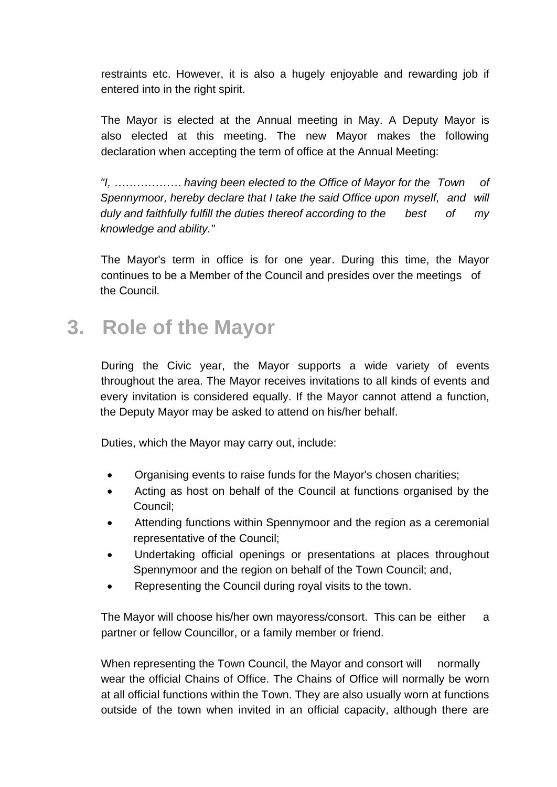restraints etc. However, it is also a hugely enjoyable and rewarding job if entered into in the right spirit.

The Mayor is elected at the Annual meeting in May. A Deputy Mayor is also elected at this meeting. The new Mayor makes the following declaration when accepting the term of office at the Annual Meeting:

*"I, ……………… having been elected to the Office of Mayor for the Town of Spennymoor, hereby declare that I take the said Office upon myself, and will duly and faithfully fulfill the duties thereof according to the best of my knowledge and ability."*

The Mayor's term in office is for one year. During this time, the Mayor continues to be a Member of the Council and presides over the meetings of the Council.

#### **3. Role of the Mayor**

During the Civic year, the Mayor supports a wide variety of events throughout the area. The Mayor receives invitations to all kinds of events and every invitation is considered equally. If the Mayor cannot attend a function, the Deputy Mayor may be asked to attend on his/her behalf.

Duties, which the Mayor may carry out, include:

- Organising events to raise funds for the Mayor's chosen charities;
- Acting as host on behalf of the Council at functions organised by the Council;
- Attending functions within Spennymoor and the region as a ceremonial representative of the Council;
- Undertaking official openings or presentations at places throughout Spennymoor and the region on behalf of the Town Council; and,
- Representing the Council during royal visits to the town.

The Mayor will choose his/her own mayoress/consort. This can be either a partner or fellow Councillor, or a family member or friend.

When representing the Town Council, the Mayor and consort will normally wear the official Chains of Office. The Chains of Office will normally be worn at all official functions within the Town. They are also usually worn at functions outside of the town when invited in an official capacity, although there are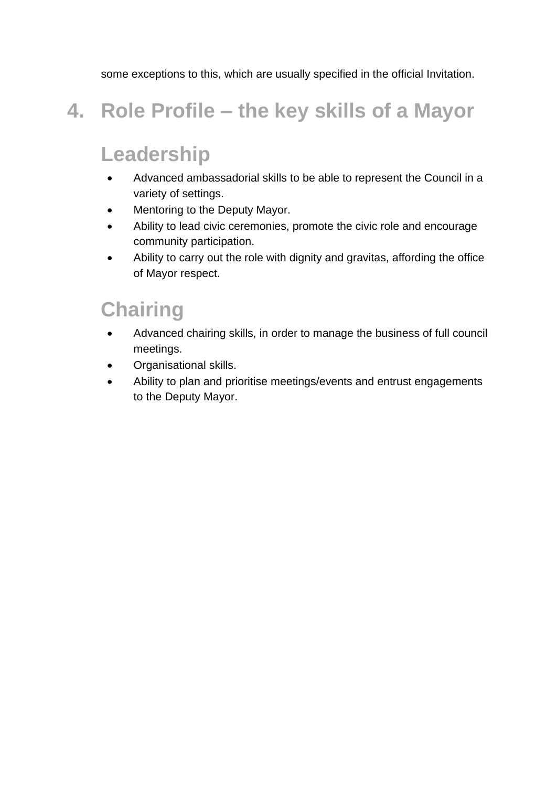some exceptions to this, which are usually specified in the official Invitation.

## **4. Role Profile – the key skills of a Mayor**

## **Leadership**

- Advanced ambassadorial skills to be able to represent the Council in a variety of settings.
- Mentoring to the Deputy Mayor.
- Ability to lead civic ceremonies, promote the civic role and encourage community participation.
- Ability to carry out the role with dignity and gravitas, affording the office of Mayor respect.

#### **Chairing**

- Advanced chairing skills, in order to manage the business of full council meetings.
- Organisational skills.
- Ability to plan and prioritise meetings/events and entrust engagements to the Deputy Mayor.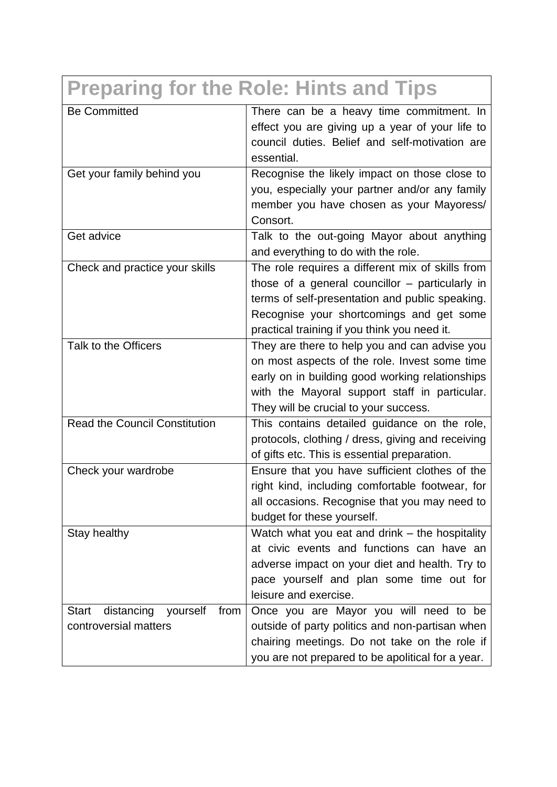| <b>Preparing for the Role: Hints and Tips</b>                     |                                                                                                                                                                                                                                                      |  |
|-------------------------------------------------------------------|------------------------------------------------------------------------------------------------------------------------------------------------------------------------------------------------------------------------------------------------------|--|
| <b>Be Committed</b>                                               | There can be a heavy time commitment. In<br>effect you are giving up a year of your life to<br>council duties. Belief and self-motivation are<br>essential.                                                                                          |  |
| Get your family behind you                                        | Recognise the likely impact on those close to<br>you, especially your partner and/or any family<br>member you have chosen as your Mayoress/<br>Consort.                                                                                              |  |
| Get advice                                                        | Talk to the out-going Mayor about anything<br>and everything to do with the role.                                                                                                                                                                    |  |
| Check and practice your skills                                    | The role requires a different mix of skills from<br>those of a general councillor $-$ particularly in<br>terms of self-presentation and public speaking.<br>Recognise your shortcomings and get some<br>practical training if you think you need it. |  |
| Talk to the Officers                                              | They are there to help you and can advise you<br>on most aspects of the role. Invest some time<br>early on in building good working relationships<br>with the Mayoral support staff in particular.<br>They will be crucial to your success.          |  |
| <b>Read the Council Constitution</b>                              | This contains detailed guidance on the role,<br>protocols, clothing / dress, giving and receiving<br>of gifts etc. This is essential preparation.                                                                                                    |  |
| Check your wardrobe                                               | Ensure that you have sufficient clothes of the<br>right kind, including comfortable footwear, for<br>all occasions. Recognise that you may need to<br>budget for these yourself.                                                                     |  |
| Stay healthy                                                      | Watch what you eat and drink – the hospitality<br>at civic events and functions can have an<br>adverse impact on your diet and health. Try to<br>pace yourself and plan some time out for<br>leisure and exercise.                                   |  |
| distancing yourself from<br><b>Start</b><br>controversial matters | Once you are Mayor you will need to be<br>outside of party politics and non-partisan when<br>chairing meetings. Do not take on the role if<br>you are not prepared to be apolitical for a year.                                                      |  |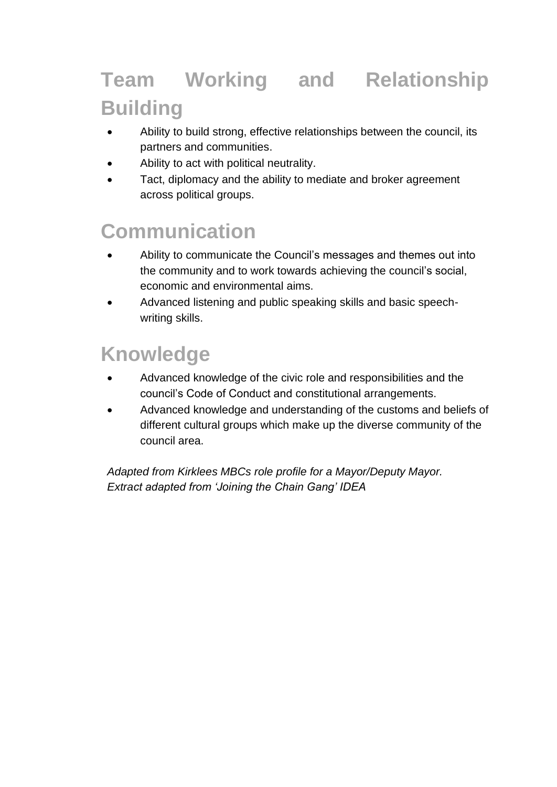# **Team Working and Relationship Building**

- Ability to build strong, effective relationships between the council, its partners and communities.
- Ability to act with political neutrality.
- Tact, diplomacy and the ability to mediate and broker agreement across political groups.

## **Communication**

- Ability to communicate the Council's messages and themes out into the community and to work towards achieving the council's social, economic and environmental aims.
- Advanced listening and public speaking skills and basic speechwriting skills.

## **Knowledge**

- Advanced knowledge of the civic role and responsibilities and the council's Code of Conduct and constitutional arrangements.
- Advanced knowledge and understanding of the customs and beliefs of different cultural groups which make up the diverse community of the council area.

*Adapted from Kirklees MBCs role profile for a Mayor/Deputy Mayor. Extract adapted from 'Joining the Chain Gang' IDEA*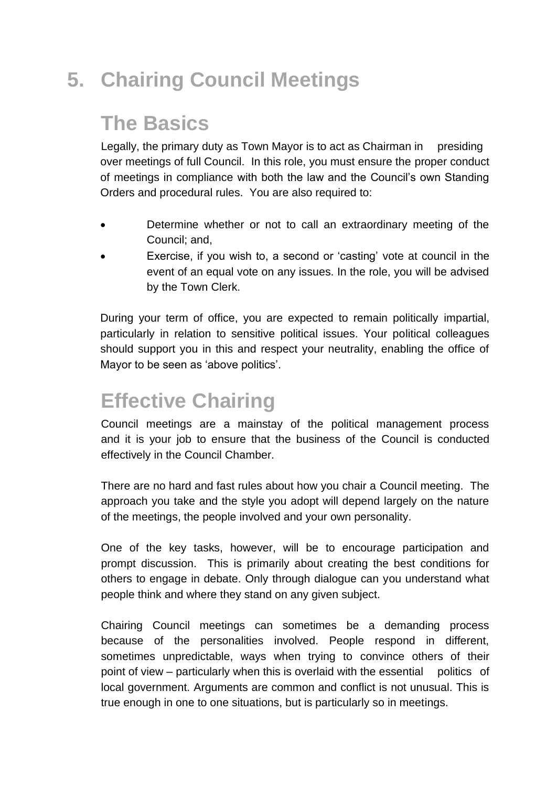# **5. Chairing Council Meetings**

#### **The Basics**

Legally, the primary duty as Town Mayor is to act as Chairman in presiding over meetings of full Council. In this role, you must ensure the proper conduct of meetings in compliance with both the law and the Council's own Standing Orders and procedural rules. You are also required to:

- Determine whether or not to call an extraordinary meeting of the Council; and,
- Exercise, if you wish to, a second or 'casting' vote at council in the event of an equal vote on any issues. In the role, you will be advised by the Town Clerk.

During your term of office, you are expected to remain politically impartial, particularly in relation to sensitive political issues. Your political colleagues should support you in this and respect your neutrality, enabling the office of Mayor to be seen as 'above politics'.

## **Effective Chairing**

Council meetings are a mainstay of the political management process and it is your job to ensure that the business of the Council is conducted effectively in the Council Chamber.

There are no hard and fast rules about how you chair a Council meeting. The approach you take and the style you adopt will depend largely on the nature of the meetings, the people involved and your own personality.

One of the key tasks, however, will be to encourage participation and prompt discussion. This is primarily about creating the best conditions for others to engage in debate. Only through dialogue can you understand what people think and where they stand on any given subject.

Chairing Council meetings can sometimes be a demanding process because of the personalities involved. People respond in different, sometimes unpredictable, ways when trying to convince others of their point of view – particularly when this is overlaid with the essential politics of local government. Arguments are common and conflict is not unusual. This is true enough in one to one situations, but is particularly so in meetings.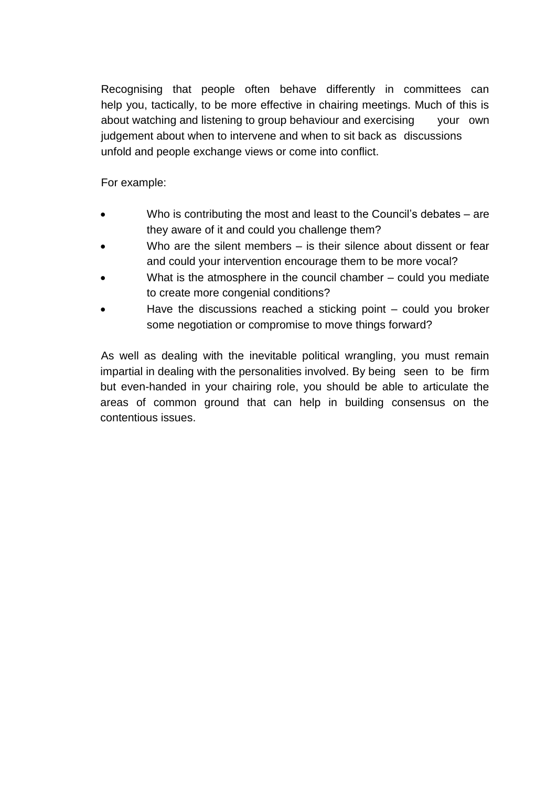Recognising that people often behave differently in committees can help you, tactically, to be more effective in chairing meetings. Much of this is about watching and listening to group behaviour and exercising your own judgement about when to intervene and when to sit back as discussions unfold and people exchange views or come into conflict.

For example:

- Who is contributing the most and least to the Council's debates are they aware of it and could you challenge them?
- Who are the silent members  $-$  is their silence about dissent or fear and could your intervention encourage them to be more vocal?
- What is the atmosphere in the council chamber  $-$  could you mediate to create more congenial conditions?
- Have the discussions reached a sticking point  $-$  could you broker some negotiation or compromise to move things forward?

As well as dealing with the inevitable political wrangling, you must remain impartial in dealing with the personalities involved. By being seen to be firm but even-handed in your chairing role, you should be able to articulate the areas of common ground that can help in building consensus on the contentious issues.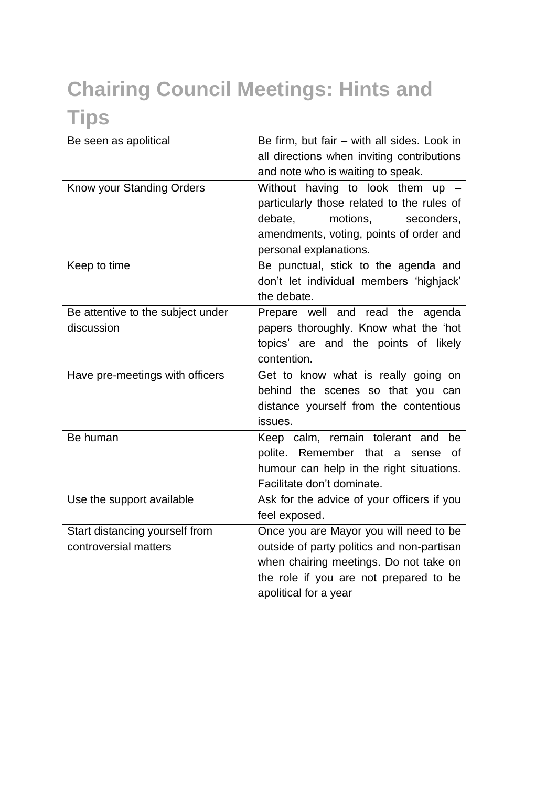# **Chairing Council Meetings: Hints and Tips**

| Be seen as apolitical             | Be firm, but fair - with all sides. Look in |
|-----------------------------------|---------------------------------------------|
|                                   | all directions when inviting contributions  |
|                                   | and note who is waiting to speak.           |
| Know your Standing Orders         | Without having to look them up -            |
|                                   | particularly those related to the rules of  |
|                                   | motions,<br>debate,<br>seconders,           |
|                                   | amendments, voting, points of order and     |
|                                   | personal explanations.                      |
| Keep to time                      | Be punctual, stick to the agenda and        |
|                                   | don't let individual members 'highjack'     |
|                                   | the debate.                                 |
| Be attentive to the subject under | Prepare well and read the agenda            |
| discussion                        | papers thoroughly. Know what the 'hot       |
|                                   | topics' are and the points of likely        |
|                                   | contention.                                 |
| Have pre-meetings with officers   | Get to know what is really going on         |
|                                   | behind the scenes so that you can           |
|                                   | distance yourself from the contentious      |
|                                   | issues.                                     |
| Be human                          | Keep calm, remain tolerant and<br>be        |
|                                   | polite. Remember that a<br>Ωf<br>sense      |
|                                   | humour can help in the right situations.    |
|                                   | Facilitate don't dominate.                  |
| Use the support available         | Ask for the advice of your officers if you  |
|                                   | feel exposed.                               |
| Start distancing yourself from    | Once you are Mayor you will need to be      |
| controversial matters             | outside of party politics and non-partisan  |
|                                   | when chairing meetings. Do not take on      |
|                                   | the role if you are not prepared to be      |
|                                   | apolitical for a year                       |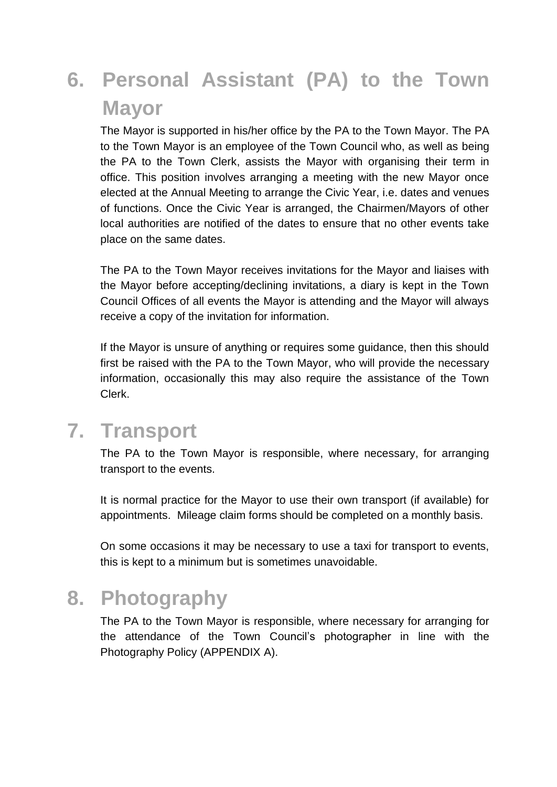# **6. Personal Assistant (PA) to the Town Mayor**

The Mayor is supported in his/her office by the PA to the Town Mayor. The PA to the Town Mayor is an employee of the Town Council who, as well as being the PA to the Town Clerk, assists the Mayor with organising their term in office. This position involves arranging a meeting with the new Mayor once elected at the Annual Meeting to arrange the Civic Year, i.e. dates and venues of functions. Once the Civic Year is arranged, the Chairmen/Mayors of other local authorities are notified of the dates to ensure that no other events take place on the same dates.

The PA to the Town Mayor receives invitations for the Mayor and liaises with the Mayor before accepting/declining invitations, a diary is kept in the Town Council Offices of all events the Mayor is attending and the Mayor will always receive a copy of the invitation for information.

If the Mayor is unsure of anything or requires some guidance, then this should first be raised with the PA to the Town Mayor, who will provide the necessary information, occasionally this may also require the assistance of the Town Clerk.

## **7. Transport**

The PA to the Town Mayor is responsible, where necessary, for arranging transport to the events.

It is normal practice for the Mayor to use their own transport (if available) for appointments. Mileage claim forms should be completed on a monthly basis.

On some occasions it may be necessary to use a taxi for transport to events, this is kept to a minimum but is sometimes unavoidable.

#### **8. Photography**

The PA to the Town Mayor is responsible, where necessary for arranging for the attendance of the Town Council's photographer in line with the Photography Policy (APPENDIX A).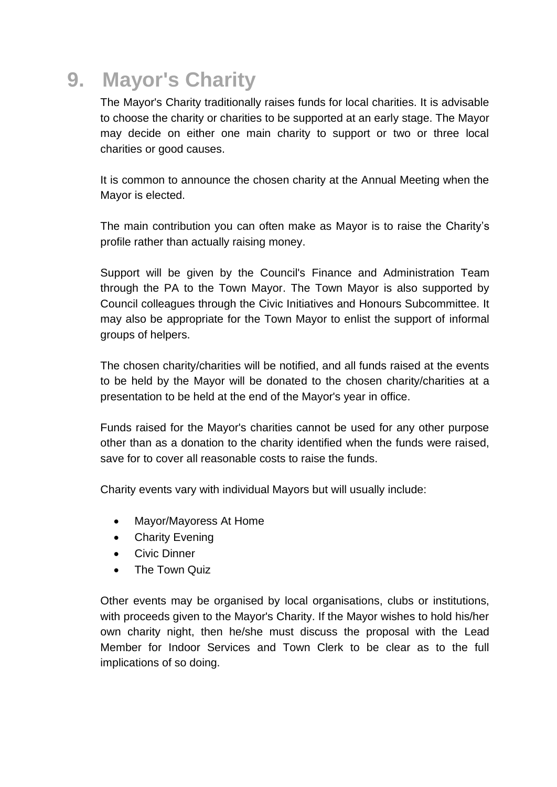## **9. Mayor's Charity**

The Mayor's Charity traditionally raises funds for local charities. It is advisable to choose the charity or charities to be supported at an early stage. The Mayor may decide on either one main charity to support or two or three local charities or good causes.

It is common to announce the chosen charity at the Annual Meeting when the Mayor is elected.

The main contribution you can often make as Mayor is to raise the Charity's profile rather than actually raising money.

Support will be given by the Council's Finance and Administration Team through the PA to the Town Mayor. The Town Mayor is also supported by Council colleagues through the Civic Initiatives and Honours Subcommittee. It may also be appropriate for the Town Mayor to enlist the support of informal groups of helpers.

The chosen charity/charities will be notified, and all funds raised at the events to be held by the Mayor will be donated to the chosen charity/charities at a presentation to be held at the end of the Mayor's year in office.

Funds raised for the Mayor's charities cannot be used for any other purpose other than as a donation to the charity identified when the funds were raised, save for to cover all reasonable costs to raise the funds.

Charity events vary with individual Mayors but will usually include:

- Mayor/Mayoress At Home
- Charity Evening
- Civic Dinner
- The Town Quiz

Other events may be organised by local organisations, clubs or institutions, with proceeds given to the Mayor's Charity. If the Mayor wishes to hold his/her own charity night, then he/she must discuss the proposal with the Lead Member for Indoor Services and Town Clerk to be clear as to the full implications of so doing.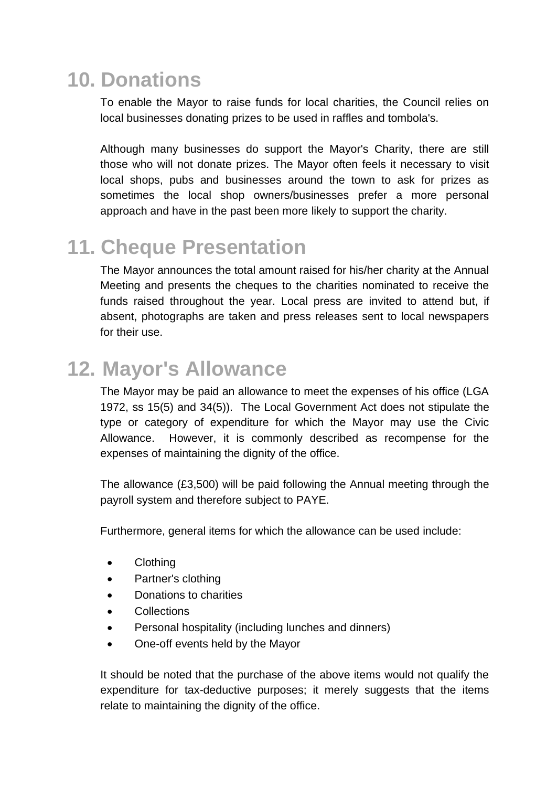## **10. Donations**

To enable the Mayor to raise funds for local charities, the Council relies on local businesses donating prizes to be used in raffles and tombola's.

Although many businesses do support the Mayor's Charity, there are still those who will not donate prizes. The Mayor often feels it necessary to visit local shops, pubs and businesses around the town to ask for prizes as sometimes the local shop owners/businesses prefer a more personal approach and have in the past been more likely to support the charity.

#### **11. Cheque Presentation**

The Mayor announces the total amount raised for his/her charity at the Annual Meeting and presents the cheques to the charities nominated to receive the funds raised throughout the year. Local press are invited to attend but, if absent, photographs are taken and press releases sent to local newspapers for their use.

## **12. Mayor's Allowance**

The Mayor may be paid an allowance to meet the expenses of his office (LGA 1972, ss 15(5) and 34(5)). The Local Government Act does not stipulate the type or category of expenditure for which the Mayor may use the Civic Allowance. However, it is commonly described as recompense for the expenses of maintaining the dignity of the office.

The allowance (£3,500) will be paid following the Annual meeting through the payroll system and therefore subject to PAYE.

Furthermore, general items for which the allowance can be used include:

- Clothing
- Partner's clothing
- Donations to charities
- Collections
- Personal hospitality (including lunches and dinners)
- One-off events held by the Mayor

It should be noted that the purchase of the above items would not qualify the expenditure for tax-deductive purposes; it merely suggests that the items relate to maintaining the dignity of the office.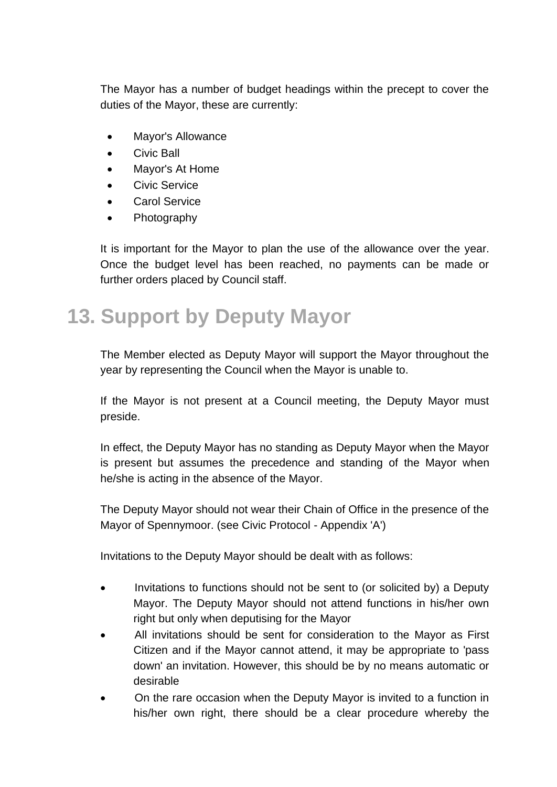The Mayor has a number of budget headings within the precept to cover the duties of the Mayor, these are currently:

- Mayor's Allowance
- Civic Ball
- Mayor's At Home
- Civic Service
- **Carol Service**
- Photography

It is important for the Mayor to plan the use of the allowance over the year. Once the budget level has been reached, no payments can be made or further orders placed by Council staff.

## **13. Support by Deputy Mayor**

The Member elected as Deputy Mayor will support the Mayor throughout the year by representing the Council when the Mayor is unable to.

If the Mayor is not present at a Council meeting, the Deputy Mayor must preside.

In effect, the Deputy Mayor has no standing as Deputy Mayor when the Mayor is present but assumes the precedence and standing of the Mayor when he/she is acting in the absence of the Mayor.

The Deputy Mayor should not wear their Chain of Office in the presence of the Mayor of Spennymoor. (see Civic Protocol - Appendix 'A')

Invitations to the Deputy Mayor should be dealt with as follows:

- Invitations to functions should not be sent to (or solicited by) a Deputy Mayor. The Deputy Mayor should not attend functions in his/her own right but only when deputising for the Mayor
- All invitations should be sent for consideration to the Mayor as First Citizen and if the Mayor cannot attend, it may be appropriate to 'pass down' an invitation. However, this should be by no means automatic or desirable
- On the rare occasion when the Deputy Mayor is invited to a function in his/her own right, there should be a clear procedure whereby the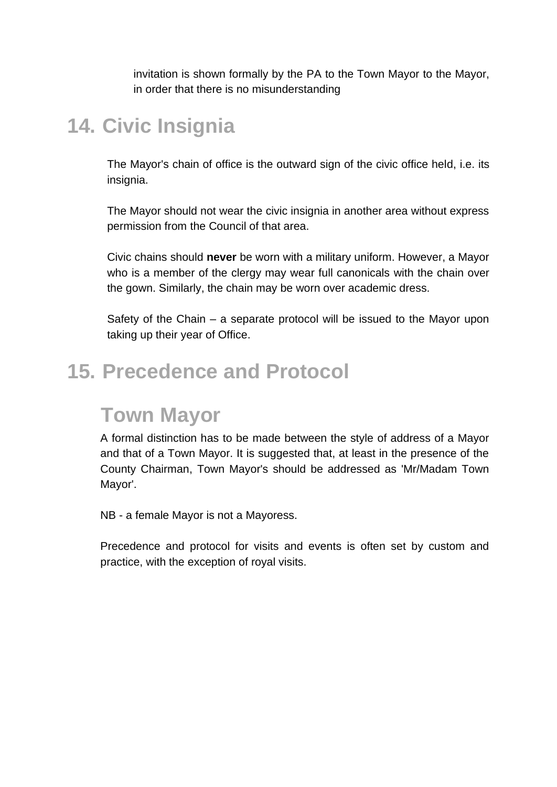invitation is shown formally by the PA to the Town Mayor to the Mayor, in order that there is no misunderstanding

#### **14. Civic Insignia**

The Mayor's chain of office is the outward sign of the civic office held, i.e. its insignia.

The Mayor should not wear the civic insignia in another area without express permission from the Council of that area.

Civic chains should **never** be worn with a military uniform. However, a Mayor who is a member of the clergy may wear full canonicals with the chain over the gown. Similarly, the chain may be worn over academic dress.

Safety of the Chain – a separate protocol will be issued to the Mayor upon taking up their year of Office.

#### **15. Precedence and Protocol**

#### **Town Mayor**

A formal distinction has to be made between the style of address of a Mayor and that of a Town Mayor. It is suggested that, at least in the presence of the County Chairman, Town Mayor's should be addressed as 'Mr/Madam Town Mayor'.

NB - a female Mayor is not a Mayoress.

Precedence and protocol for visits and events is often set by custom and practice, with the exception of royal visits.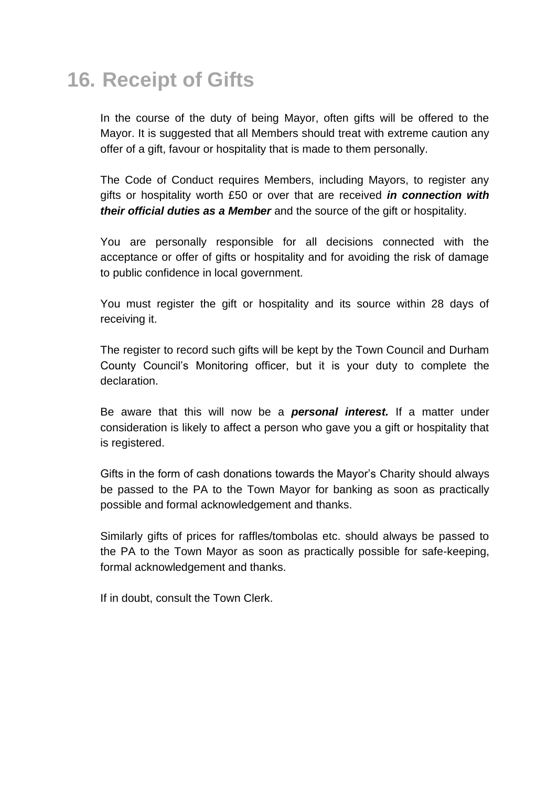## **16. Receipt of Gifts**

In the course of the duty of being Mayor, often gifts will be offered to the Mayor. It is suggested that all Members should treat with extreme caution any offer of a gift, favour or hospitality that is made to them personally.

The Code of Conduct requires Members, including Mayors, to register any gifts or hospitality worth £50 or over that are received *in connection with their official duties as a Member* and the source of the gift or hospitality.

You are personally responsible for all decisions connected with the acceptance or offer of gifts or hospitality and for avoiding the risk of damage to public confidence in local government.

You must register the gift or hospitality and its source within 28 days of receiving it.

The register to record such gifts will be kept by the Town Council and Durham County Council's Monitoring officer, but it is your duty to complete the declaration.

Be aware that this will now be a *personal interest.* If a matter under consideration is likely to affect a person who gave you a gift or hospitality that is registered.

Gifts in the form of cash donations towards the Mayor's Charity should always be passed to the PA to the Town Mayor for banking as soon as practically possible and formal acknowledgement and thanks.

Similarly gifts of prices for raffles/tombolas etc. should always be passed to the PA to the Town Mayor as soon as practically possible for safe-keeping, formal acknowledgement and thanks.

If in doubt, consult the Town Clerk.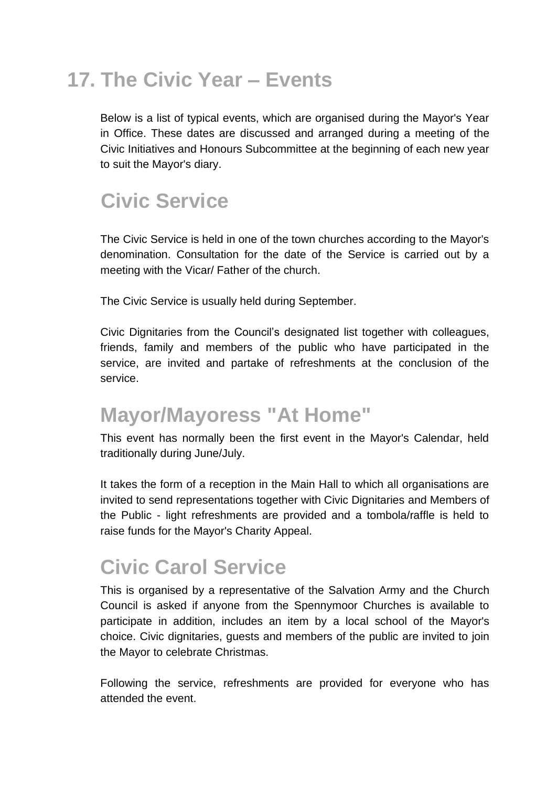## **17. The Civic Year – Events**

Below is a list of typical events, which are organised during the Mayor's Year in Office. These dates are discussed and arranged during a meeting of the Civic Initiatives and Honours Subcommittee at the beginning of each new year to suit the Mayor's diary.

## **Civic Service**

The Civic Service is held in one of the town churches according to the Mayor's denomination. Consultation for the date of the Service is carried out by a meeting with the Vicar/ Father of the church.

The Civic Service is usually held during September.

Civic Dignitaries from the Council's designated list together with colleagues, friends, family and members of the public who have participated in the service, are invited and partake of refreshments at the conclusion of the service.

#### **Mayor/Mayoress "At Home"**

This event has normally been the first event in the Mayor's Calendar, held traditionally during June/July.

It takes the form of a reception in the Main Hall to which all organisations are invited to send representations together with Civic Dignitaries and Members of the Public - light refreshments are provided and a tombola/raffle is held to raise funds for the Mayor's Charity Appeal.

## **Civic Carol Service**

This is organised by a representative of the Salvation Army and the Church Council is asked if anyone from the Spennymoor Churches is available to participate in addition, includes an item by a local school of the Mayor's choice. Civic dignitaries, guests and members of the public are invited to join the Mayor to celebrate Christmas.

Following the service, refreshments are provided for everyone who has attended the event.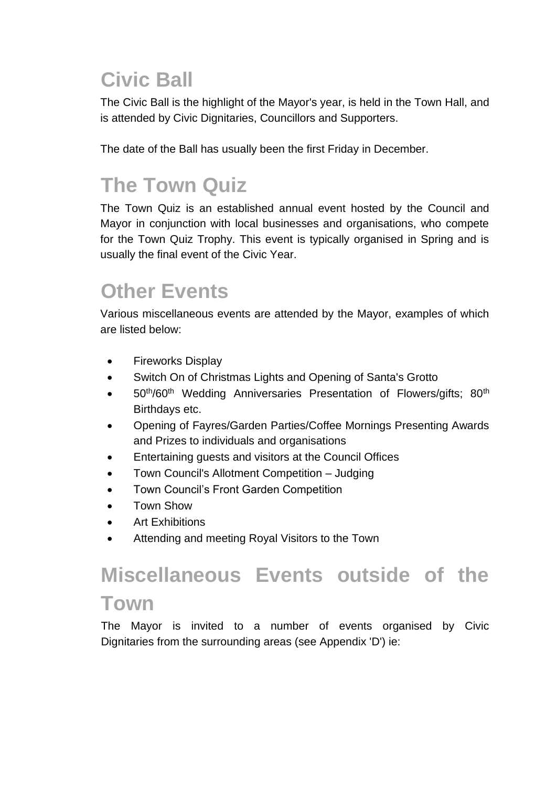# **Civic Ball**

The Civic Ball is the highlight of the Mayor's year, is held in the Town Hall, and is attended by Civic Dignitaries, Councillors and Supporters.

The date of the Ball has usually been the first Friday in December.

# **The Town Quiz**

The Town Quiz is an established annual event hosted by the Council and Mayor in conjunction with local businesses and organisations, who compete for the Town Quiz Trophy. This event is typically organised in Spring and is usually the final event of the Civic Year.

## **Other Events**

Various miscellaneous events are attended by the Mayor, examples of which are listed below:

- Fireworks Display
- Switch On of Christmas Lights and Opening of Santa's Grotto
- $\bullet$  50<sup>th</sup>/60<sup>th</sup> Wedding Anniversaries Presentation of Flowers/gifts; 80<sup>th</sup> Birthdays etc.
- Opening of Fayres/Garden Parties/Coffee Mornings Presenting Awards and Prizes to individuals and organisations
- Entertaining guests and visitors at the Council Offices
- Town Council's Allotment Competition Judging
- Town Council's Front Garden Competition
- Town Show
- **Art Exhibitions**
- Attending and meeting Royal Visitors to the Town

# **Miscellaneous Events outside of the Town**

The Mayor is invited to a number of events organised by Civic Dignitaries from the surrounding areas (see Appendix 'D') ie: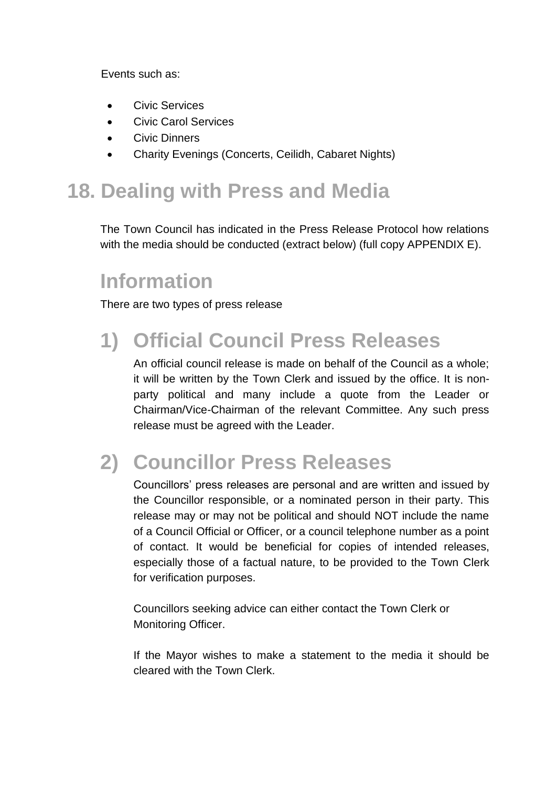Events such as:

- Civic Services
- Civic Carol Services
- Civic Dinners
- Charity Evenings (Concerts, Ceilidh, Cabaret Nights)

## **18. Dealing with Press and Media**

The Town Council has indicated in the Press Release Protocol how relations with the media should be conducted (extract below) (full copy APPENDIX E).

## **Information**

There are two types of press release

## **1) Official Council Press Releases**

An official council release is made on behalf of the Council as a whole; it will be written by the Town Clerk and issued by the office. It is nonparty political and many include a quote from the Leader or Chairman/Vice-Chairman of the relevant Committee. Any such press release must be agreed with the Leader.

# **2) Councillor Press Releases**

Councillors' press releases are personal and are written and issued by the Councillor responsible, or a nominated person in their party. This release may or may not be political and should NOT include the name of a Council Official or Officer, or a council telephone number as a point of contact. It would be beneficial for copies of intended releases, especially those of a factual nature, to be provided to the Town Clerk for verification purposes.

Councillors seeking advice can either contact the Town Clerk or Monitoring Officer.

If the Mayor wishes to make a statement to the media it should be cleared with the Town Clerk.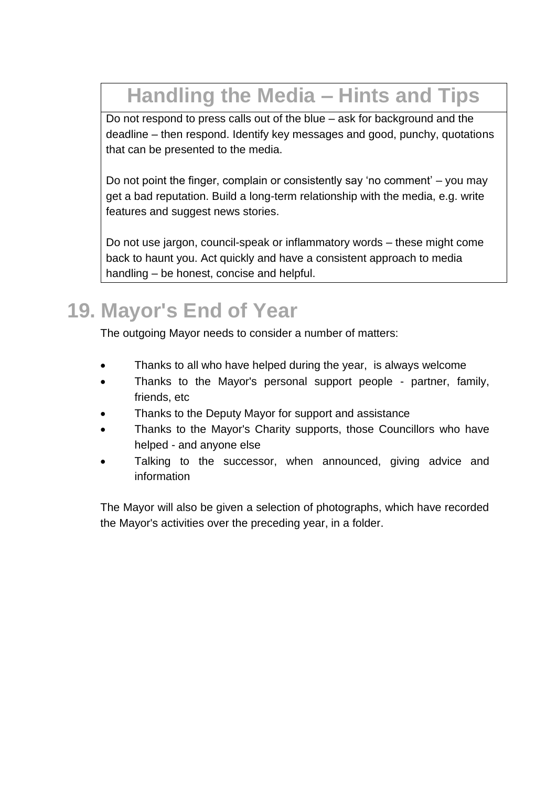# **Handling the Media – Hints and Tips**

Do not respond to press calls out of the blue – ask for background and the deadline – then respond. Identify key messages and good, punchy, quotations that can be presented to the media.

Do not point the finger, complain or consistently say 'no comment' – you may get a bad reputation. Build a long-term relationship with the media, e.g. write features and suggest news stories.

Do not use jargon, council-speak or inflammatory words – these might come back to haunt you. Act quickly and have a consistent approach to media handling – be honest, concise and helpful.

# **19. Mayor's End of Year**

The outgoing Mayor needs to consider a number of matters:

- Thanks to all who have helped during the year, is always welcome
- Thanks to the Mayor's personal support people partner, family, friends, etc
- Thanks to the Deputy Mayor for support and assistance
- Thanks to the Mayor's Charity supports, those Councillors who have helped - and anyone else
- Talking to the successor, when announced, giving advice and information

The Mayor will also be given a selection of photographs, which have recorded the Mayor's activities over the preceding year, in a folder.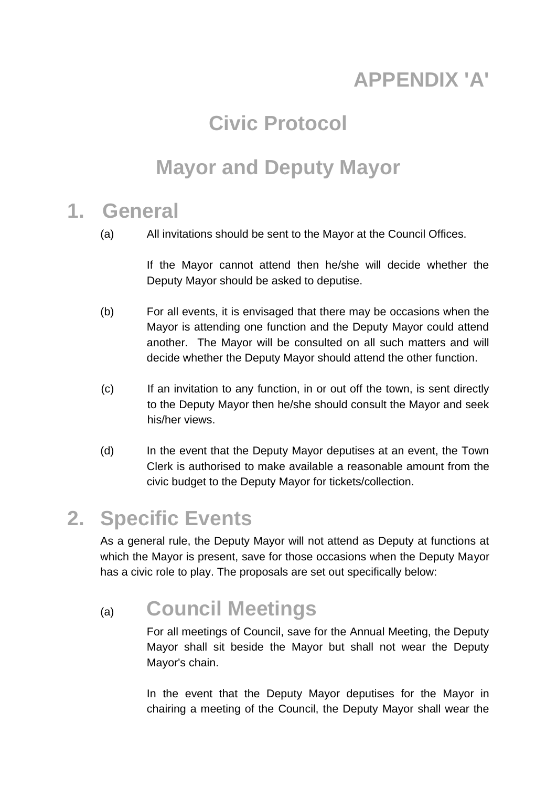# **APPENDIX 'A'**

## **Civic Protocol**

#### **Mayor and Deputy Mayor**

#### **1. General**

(a) All invitations should be sent to the Mayor at the Council Offices.

If the Mayor cannot attend then he/she will decide whether the Deputy Mayor should be asked to deputise.

- (b) For all events, it is envisaged that there may be occasions when the Mayor is attending one function and the Deputy Mayor could attend another. The Mayor will be consulted on all such matters and will decide whether the Deputy Mayor should attend the other function.
- (c) If an invitation to any function, in or out off the town, is sent directly to the Deputy Mayor then he/she should consult the Mayor and seek his/her views.
- (d) In the event that the Deputy Mayor deputises at an event, the Town Clerk is authorised to make available a reasonable amount from the civic budget to the Deputy Mayor for tickets/collection.

#### **2. Specific Events**

As a general rule, the Deputy Mayor will not attend as Deputy at functions at which the Mayor is present, save for those occasions when the Deputy Mayor has a civic role to play. The proposals are set out specifically below:

#### (a) **Council Meetings**

For all meetings of Council, save for the Annual Meeting, the Deputy Mayor shall sit beside the Mayor but shall not wear the Deputy Mayor's chain.

In the event that the Deputy Mayor deputises for the Mayor in chairing a meeting of the Council, the Deputy Mayor shall wear the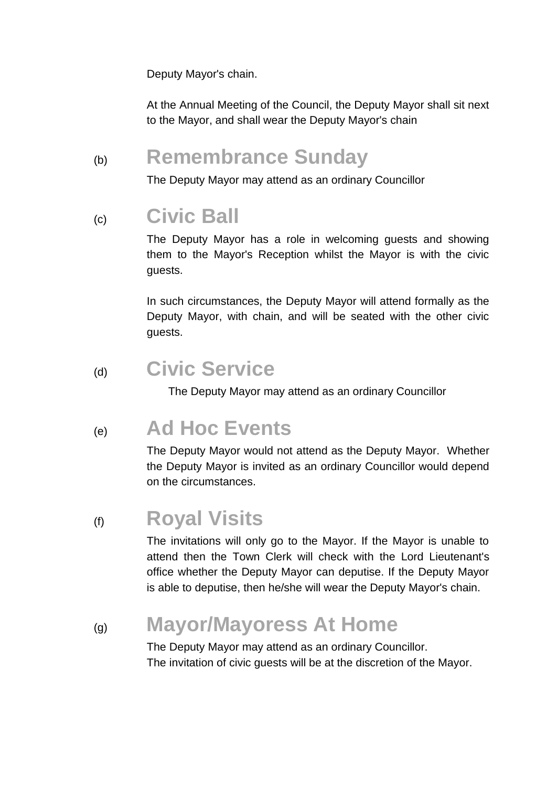Deputy Mayor's chain.

At the Annual Meeting of the Council, the Deputy Mayor shall sit next to the Mayor, and shall wear the Deputy Mayor's chain

#### (b) **Remembrance Sunday**

The Deputy Mayor may attend as an ordinary Councillor

#### (c) **Civic Ball**

The Deputy Mayor has a role in welcoming guests and showing them to the Mayor's Reception whilst the Mayor is with the civic guests.

In such circumstances, the Deputy Mayor will attend formally as the Deputy Mayor, with chain, and will be seated with the other civic guests.

#### (d) **Civic Service**

The Deputy Mayor may attend as an ordinary Councillor

#### (e) **Ad Hoc Events**

The Deputy Mayor would not attend as the Deputy Mayor. Whether the Deputy Mayor is invited as an ordinary Councillor would depend on the circumstances.

#### (f) **Royal Visits**

The invitations will only go to the Mayor. If the Mayor is unable to attend then the Town Clerk will check with the Lord Lieutenant's office whether the Deputy Mayor can deputise. If the Deputy Mayor is able to deputise, then he/she will wear the Deputy Mayor's chain.

#### (g) **Mayor/Mayoress At Home**

The Deputy Mayor may attend as an ordinary Councillor. The invitation of civic guests will be at the discretion of the Mayor.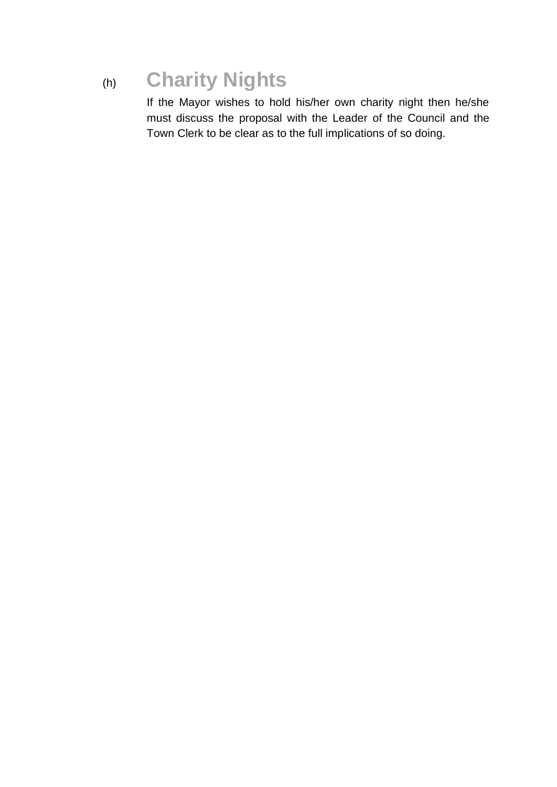## (h) **Charity Nights**

If the Mayor wishes to hold his/her own charity night then he/she must discuss the proposal with the Leader of the Council and the Town Clerk to be clear as to the full implications of so doing.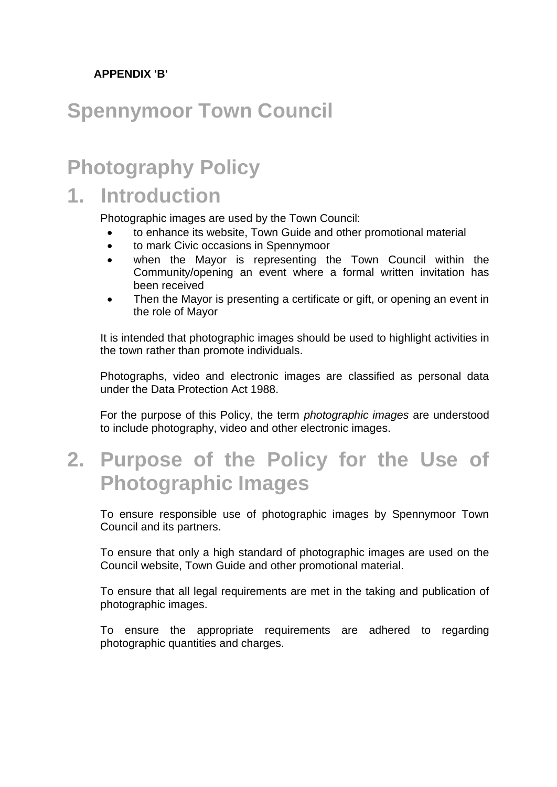#### **APPENDIX 'B'**

#### **Spennymoor Town Council**

#### **Photography Policy**

#### **1. Introduction**

Photographic images are used by the Town Council:

- to enhance its website, Town Guide and other promotional material
- to mark Civic occasions in Spennymoor
- when the Mayor is representing the Town Council within the Community/opening an event where a formal written invitation has been received
- Then the Mayor is presenting a certificate or gift, or opening an event in the role of Mayor

It is intended that photographic images should be used to highlight activities in the town rather than promote individuals.

Photographs, video and electronic images are classified as personal data under the Data Protection Act 1988.

For the purpose of this Policy, the term *photographic images* are understood to include photography, video and other electronic images.

**2. Purpose of the Policy for the Use of Photographic Images**

To ensure responsible use of photographic images by Spennymoor Town Council and its partners.

To ensure that only a high standard of photographic images are used on the Council website, Town Guide and other promotional material.

To ensure that all legal requirements are met in the taking and publication of photographic images.

To ensure the appropriate requirements are adhered to regarding photographic quantities and charges.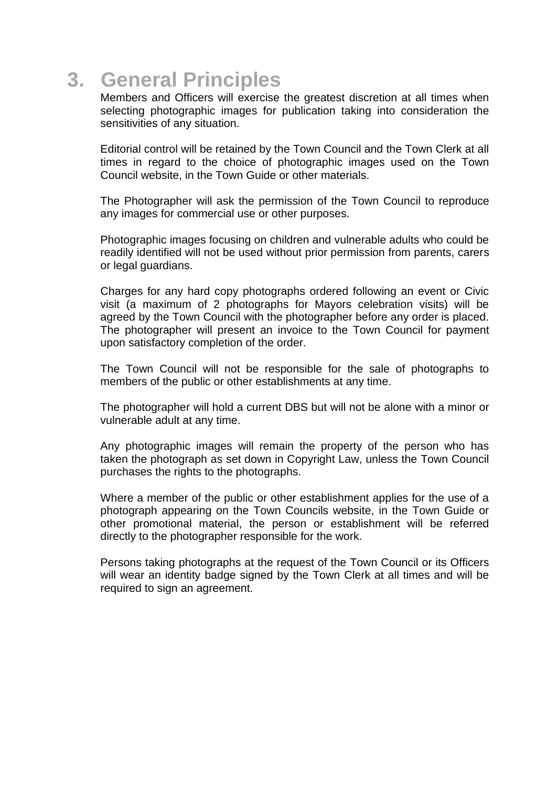#### **3. General Principles**

Members and Officers will exercise the greatest discretion at all times when selecting photographic images for publication taking into consideration the sensitivities of any situation.

Editorial control will be retained by the Town Council and the Town Clerk at all times in regard to the choice of photographic images used on the Town Council website, in the Town Guide or other materials.

The Photographer will ask the permission of the Town Council to reproduce any images for commercial use or other purposes.

Photographic images focusing on children and vulnerable adults who could be readily identified will not be used without prior permission from parents, carers or legal guardians.

Charges for any hard copy photographs ordered following an event or Civic visit (a maximum of 2 photographs for Mayors celebration visits) will be agreed by the Town Council with the photographer before any order is placed. The photographer will present an invoice to the Town Council for payment upon satisfactory completion of the order.

The Town Council will not be responsible for the sale of photographs to members of the public or other establishments at any time.

The photographer will hold a current DBS but will not be alone with a minor or vulnerable adult at any time.

Any photographic images will remain the property of the person who has taken the photograph as set down in Copyright Law, unless the Town Council purchases the rights to the photographs.

Where a member of the public or other establishment applies for the use of a photograph appearing on the Town Councils website, in the Town Guide or other promotional material, the person or establishment will be referred directly to the photographer responsible for the work.

Persons taking photographs at the request of the Town Council or its Officers will wear an identity badge signed by the Town Clerk at all times and will be required to sign an agreement.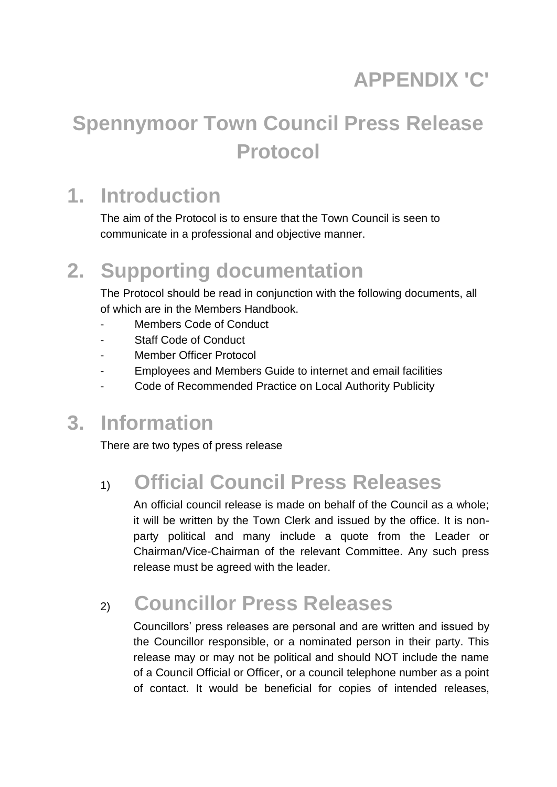# **APPENDIX 'C'**

# **Spennymoor Town Council Press Release Protocol**

#### **1. Introduction**

The aim of the Protocol is to ensure that the Town Council is seen to communicate in a professional and objective manner.

## **2. Supporting documentation**

The Protocol should be read in conjunction with the following documents, all of which are in the Members Handbook.

- Members Code of Conduct
- Staff Code of Conduct
- Member Officer Protocol
- Employees and Members Guide to internet and email facilities
- Code of Recommended Practice on Local Authority Publicity

#### **3. Information**

There are two types of press release

#### 1) **Official Council Press Releases**

An official council release is made on behalf of the Council as a whole; it will be written by the Town Clerk and issued by the office. It is nonparty political and many include a quote from the Leader or Chairman/Vice-Chairman of the relevant Committee. Any such press release must be agreed with the leader.

## 2) **Councillor Press Releases**

Councillors' press releases are personal and are written and issued by the Councillor responsible, or a nominated person in their party. This release may or may not be political and should NOT include the name of a Council Official or Officer, or a council telephone number as a point of contact. It would be beneficial for copies of intended releases,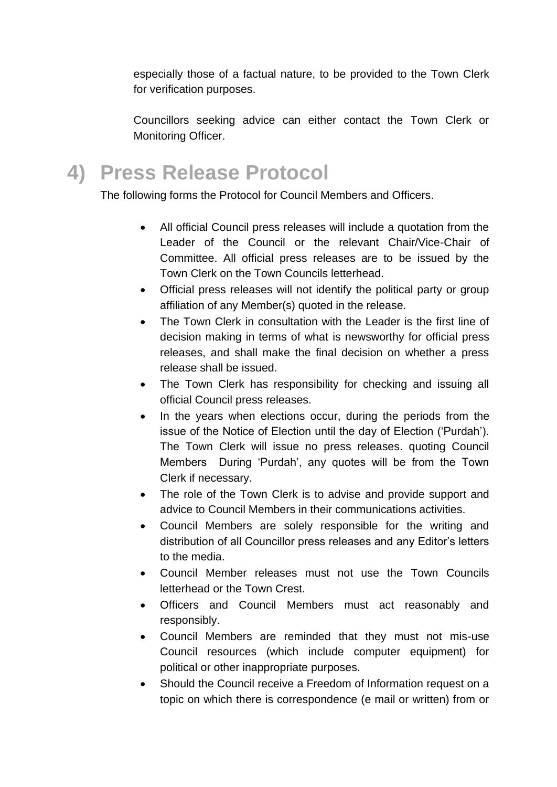especially those of a factual nature, to be provided to the Town Clerk for verification purposes.

Councillors seeking advice can either contact the Town Clerk or Monitoring Officer.

**4) Press Release Protocol**

The following forms the Protocol for Council Members and Officers.

- All official Council press releases will include a quotation from the Leader of the Council or the relevant Chair/Vice-Chair of Committee. All official press releases are to be issued by the Town Clerk on the Town Councils letterhead.
- Official press releases will not identify the political party or group affiliation of any Member(s) quoted in the release.
- The Town Clerk in consultation with the Leader is the first line of decision making in terms of what is newsworthy for official press releases, and shall make the final decision on whether a press release shall be issued.
- The Town Clerk has responsibility for checking and issuing all official Council press releases.
- In the years when elections occur, during the periods from the issue of the Notice of Election until the day of Election ('Purdah'). The Town Clerk will issue no press releases. quoting Council Members During 'Purdah', any quotes will be from the Town Clerk if necessary.
- The role of the Town Clerk is to advise and provide support and advice to Council Members in their communications activities.
- Council Members are solely responsible for the writing and distribution of all Councillor press releases and any Editor's letters to the media.
- Council Member releases must not use the Town Councils letterhead or the Town Crest.
- Officers and Council Members must act reasonably and responsibly.
- Council Members are reminded that they must not mis-use Council resources (which include computer equipment) for political or other inappropriate purposes.
- Should the Council receive a Freedom of Information request on a topic on which there is correspondence (e mail or written) from or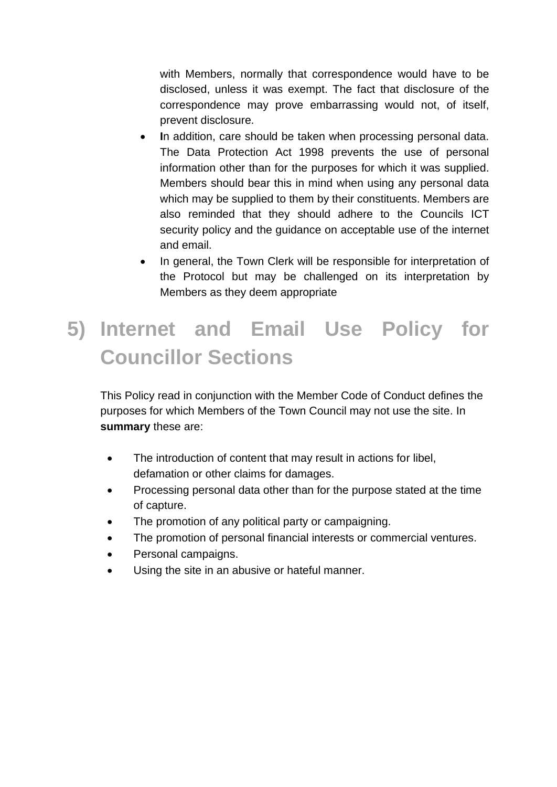with Members, normally that correspondence would have to be disclosed, unless it was exempt. The fact that disclosure of the correspondence may prove embarrassing would not, of itself, prevent disclosure.

- **I**n addition, care should be taken when processing personal data. The Data Protection Act 1998 prevents the use of personal information other than for the purposes for which it was supplied. Members should bear this in mind when using any personal data which may be supplied to them by their constituents. Members are also reminded that they should adhere to the Councils ICT security policy and the guidance on acceptable use of the internet and email.
- In general, the Town Clerk will be responsible for interpretation of the Protocol but may be challenged on its interpretation by Members as they deem appropriate

# **5) Internet and Email Use Policy for Councillor Sections**

This Policy read in conjunction with the Member Code of Conduct defines the purposes for which Members of the Town Council may not use the site. In **summary** these are:

- The introduction of content that may result in actions for libel, defamation or other claims for damages.
- Processing personal data other than for the purpose stated at the time of capture.
- The promotion of any political party or campaigning.
- The promotion of personal financial interests or commercial ventures.
- Personal campaigns.
- Using the site in an abusive or hateful manner.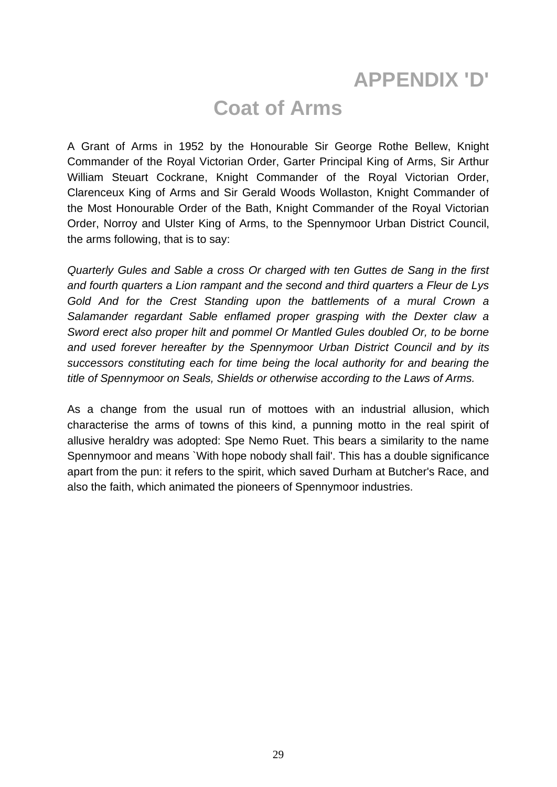#### **APPENDIX 'D'**

#### **Coat of Arms**

A Grant of Arms in 1952 by the Honourable Sir George Rothe Bellew, Knight Commander of the Royal Victorian Order, Garter Principal King of Arms, Sir Arthur William Steuart Cockrane, Knight Commander of the Royal Victorian Order, Clarenceux King of Arms and Sir Gerald Woods Wollaston, Knight Commander of the Most Honourable Order of the Bath, Knight Commander of the Royal Victorian Order, Norroy and Ulster King of Arms, to the Spennymoor Urban District Council, the arms following, that is to say:

*Quarterly Gules and Sable a cross Or charged with ten Guttes de Sang in the first and fourth quarters a Lion rampant and the second and third quarters a Fleur de Lys Gold And for the Crest Standing upon the battlements of a mural Crown a Salamander regardant Sable enflamed proper grasping with the Dexter claw a Sword erect also proper hilt and pommel Or Mantled Gules doubled Or, to be borne and used forever hereafter by the Spennymoor Urban District Council and by its successors constituting each for time being the local authority for and bearing the title of Spennymoor on Seals, Shields or otherwise according to the Laws of Arms.*

As a change from the usual run of mottoes with an industrial allusion, which characterise the arms of towns of this kind, a punning motto in the real spirit of allusive heraldry was adopted: Spe Nemo Ruet. This bears a similarity to the name Spennymoor and means `With hope nobody shall fail'. This has a double significance apart from the pun: it refers to the spirit, which saved Durham at Butcher's Race, and also the faith, which animated the pioneers of Spennymoor industries.